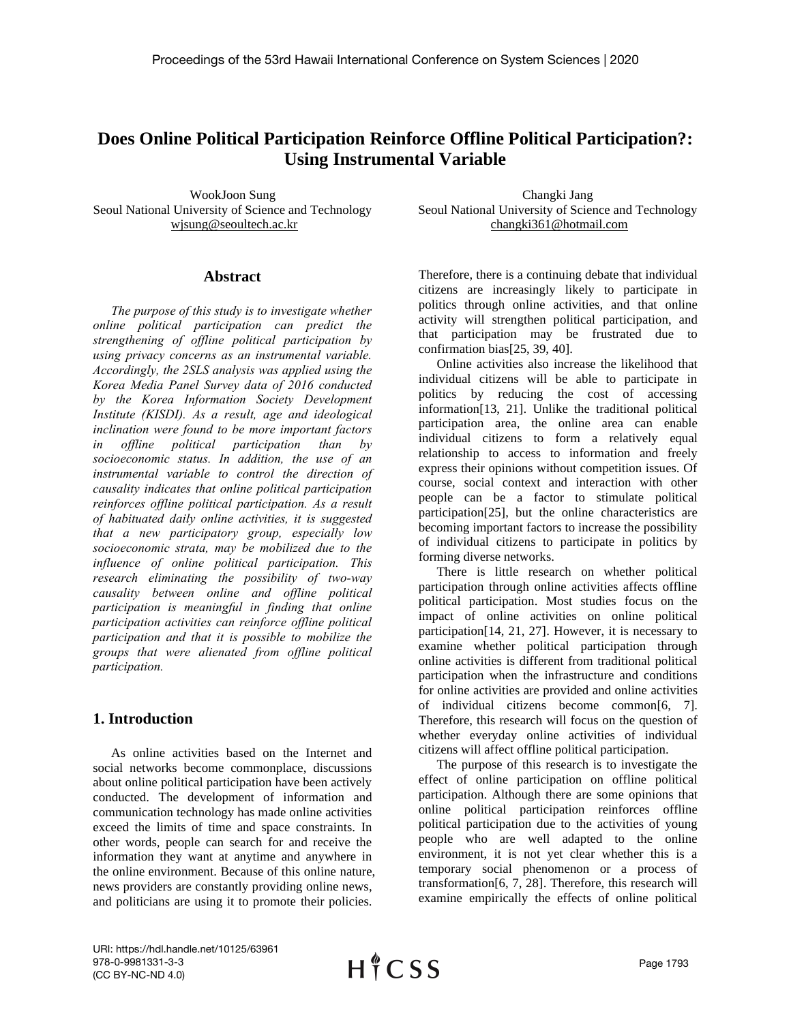# **Does Online Political Participation Reinforce Offline Political Participation?: Using Instrumental Variable**

WookJoon Sung Seoul National University of Science and Technology wjsung@seoultech.ac.kr

## **Abstract**

*The purpose of this study is to investigate whether online political participation can predict the strengthening of offline political participation by using privacy concerns as an instrumental variable. Accordingly, the 2SLS analysis was applied using the Korea Media Panel Survey data of 2016 conducted by the Korea Information Society Development Institute (KISDI). As a result, age and ideological inclination were found to be more important factors in offline political participation than by socioeconomic status. In addition, the use of an instrumental variable to control the direction of causality indicates that online political participation reinforces offline political participation. As a result of habituated daily online activities, it is suggested that a new participatory group, especially low socioeconomic strata, may be mobilized due to the influence of online political participation. This research eliminating the possibility of two-way causality between online and offline political participation is meaningful in finding that online participation activities can reinforce offline political participation and that it is possible to mobilize the groups that were alienated from offline political participation.*

## **1. Introduction**

As online activities based on the Internet and social networks become commonplace, discussions about online political participation have been actively conducted. The development of information and communication technology has made online activities exceed the limits of time and space constraints. In other words, people can search for and receive the information they want at anytime and anywhere in the online environment. Because of this online nature, news providers are constantly providing online news, and politicians are using it to promote their policies.

Changki Jang Seoul National University of Science and Technology changki361@hotmail.com

Therefore, there is a continuing debate that individual citizens are increasingly likely to participate in politics through online activities, and that online activity will strengthen political participation, and that participation may be frustrated due to confirmation bias[25, 39, 40].

Online activities also increase the likelihood that individual citizens will be able to participate in politics by reducing the cost of accessing information[13, 21]. Unlike the traditional political participation area, the online area can enable individual citizens to form a relatively equal relationship to access to information and freely express their opinions without competition issues. Of course, social context and interaction with other people can be a factor to stimulate political participation[25], but the online characteristics are becoming important factors to increase the possibility of individual citizens to participate in politics by forming diverse networks.

There is little research on whether political participation through online activities affects offline political participation. Most studies focus on the impact of online activities on online political participation[14, 21, 27]. However, it is necessary to examine whether political participation through online activities is different from traditional political participation when the infrastructure and conditions for online activities are provided and online activities of individual citizens become common[6, 7]. Therefore, this research will focus on the question of whether everyday online activities of individual citizens will affect offline political participation.

The purpose of this research is to investigate the effect of online participation on offline political participation. Although there are some opinions that online political participation reinforces offline political participation due to the activities of young people who are well adapted to the online environment, it is not yet clear whether this is a temporary social phenomenon or a process of transformation[6, 7, 28]. Therefore, this research will examine empirically the effects of online political

URI: https://hdl.handle.net/10125/63961 978-0-9981331-3-3 (CC BY-NC-ND 4.0)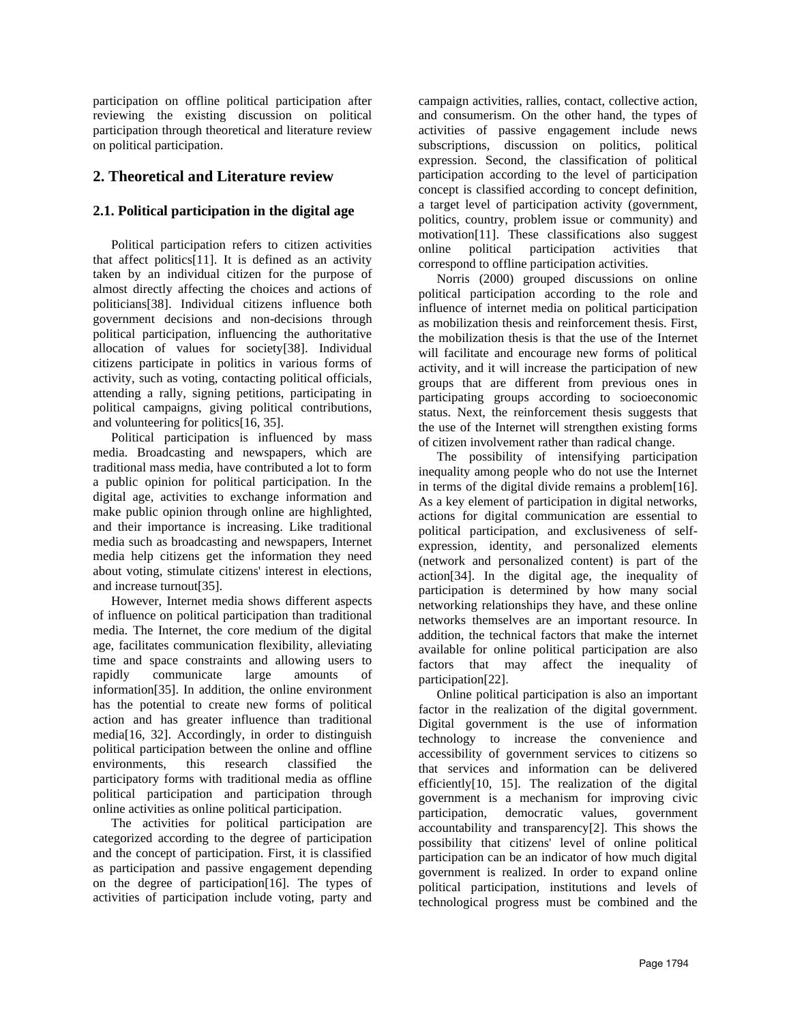participation on offline political participation after reviewing the existing discussion on political participation through theoretical and literature review on political participation.

## **2. Theoretical and Literature review**

## **2.1. Political participation in the digital age**

Political participation refers to citizen activities that affect politics[11]. It is defined as an activity taken by an individual citizen for the purpose of almost directly affecting the choices and actions of politicians[38]. Individual citizens influence both government decisions and non-decisions through political participation, influencing the authoritative allocation of values for society[38]. Individual citizens participate in politics in various forms of activity, such as voting, contacting political officials, attending a rally, signing petitions, participating in political campaigns, giving political contributions, and volunteering for politics[16, 35].

Political participation is influenced by mass media. Broadcasting and newspapers, which are traditional mass media, have contributed a lot to form a public opinion for political participation. In the digital age, activities to exchange information and make public opinion through online are highlighted, and their importance is increasing. Like traditional media such as broadcasting and newspapers, Internet media help citizens get the information they need about voting, stimulate citizens' interest in elections, and increase turnout[35].

However, Internet media shows different aspects of influence on political participation than traditional media. The Internet, the core medium of the digital age, facilitates communication flexibility, alleviating time and space constraints and allowing users to rapidly communicate large amounts of information[35]. In addition, the online environment has the potential to create new forms of political action and has greater influence than traditional media[16, 32]. Accordingly, in order to distinguish political participation between the online and offline environments, this research classified the participatory forms with traditional media as offline political participation and participation through online activities as online political participation.

The activities for political participation are categorized according to the degree of participation and the concept of participation. First, it is classified as participation and passive engagement depending on the degree of participation[16]. The types of activities of participation include voting, party and campaign activities, rallies, contact, collective action, and consumerism. On the other hand, the types of activities of passive engagement include news subscriptions, discussion on politics, political expression. Second, the classification of political participation according to the level of participation concept is classified according to concept definition, a target level of participation activity (government, politics, country, problem issue or community) and motivation[11]. These classifications also suggest online political participation activities that correspond to offline participation activities.

Norris (2000) grouped discussions on online political participation according to the role and influence of internet media on political participation as mobilization thesis and reinforcement thesis. First, the mobilization thesis is that the use of the Internet will facilitate and encourage new forms of political activity, and it will increase the participation of new groups that are different from previous ones in participating groups according to socioeconomic status. Next, the reinforcement thesis suggests that the use of the Internet will strengthen existing forms of citizen involvement rather than radical change.

The possibility of intensifying participation inequality among people who do not use the Internet in terms of the digital divide remains a problem[16]. As a key element of participation in digital networks, actions for digital communication are essential to political participation, and exclusiveness of selfexpression, identity, and personalized elements (network and personalized content) is part of the action[34]. In the digital age, the inequality of participation is determined by how many social networking relationships they have, and these online networks themselves are an important resource. In addition, the technical factors that make the internet available for online political participation are also factors that may affect the inequality of participation[22].

Online political participation is also an important factor in the realization of the digital government. Digital government is the use of information technology to increase the convenience and accessibility of government services to citizens so that services and information can be delivered efficiently[10, 15]. The realization of the digital government is a mechanism for improving civic participation, democratic values, government accountability and transparency[2]. This shows the possibility that citizens' level of online political participation can be an indicator of how much digital government is realized. In order to expand online political participation, institutions and levels of technological progress must be combined and the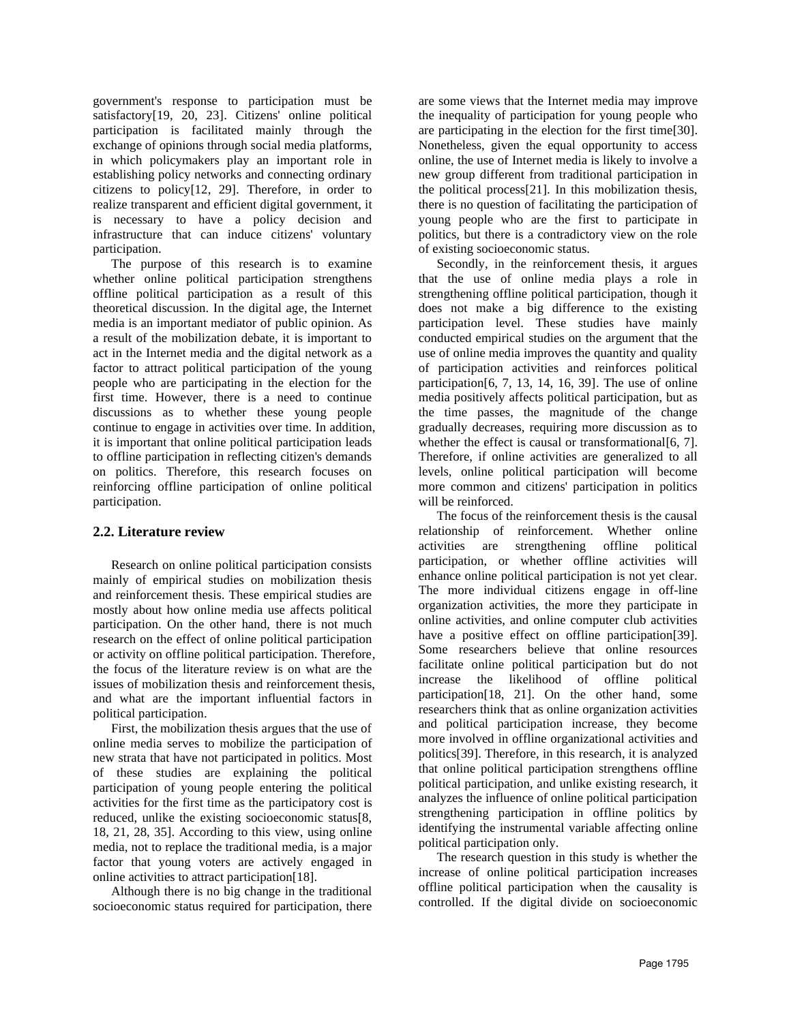government's response to participation must be satisfactory[19, 20, 23]. Citizens' online political participation is facilitated mainly through the exchange of opinions through social media platforms, in which policymakers play an important role in establishing policy networks and connecting ordinary citizens to policy[12, 29]. Therefore, in order to realize transparent and efficient digital government, it is necessary to have a policy decision and infrastructure that can induce citizens' voluntary participation.

The purpose of this research is to examine whether online political participation strengthens offline political participation as a result of this theoretical discussion. In the digital age, the Internet media is an important mediator of public opinion. As a result of the mobilization debate, it is important to act in the Internet media and the digital network as a factor to attract political participation of the young people who are participating in the election for the first time. However, there is a need to continue discussions as to whether these young people continue to engage in activities over time. In addition, it is important that online political participation leads to offline participation in reflecting citizen's demands on politics. Therefore, this research focuses on reinforcing offline participation of online political participation.

## **2.2. Literature review**

Research on online political participation consists mainly of empirical studies on mobilization thesis and reinforcement thesis. These empirical studies are mostly about how online media use affects political participation. On the other hand, there is not much research on the effect of online political participation or activity on offline political participation. Therefore, the focus of the literature review is on what are the issues of mobilization thesis and reinforcement thesis, and what are the important influential factors in political participation.

First, the mobilization thesis argues that the use of online media serves to mobilize the participation of new strata that have not participated in politics. Most of these studies are explaining the political participation of young people entering the political activities for the first time as the participatory cost is reduced, unlike the existing socioeconomic status[8, 18, 21, 28, 35]. According to this view, using online media, not to replace the traditional media, is a major factor that young voters are actively engaged in online activities to attract participation[18].

Although there is no big change in the traditional socioeconomic status required for participation, there are some views that the Internet media may improve the inequality of participation for young people who are participating in the election for the first time[30]. Nonetheless, given the equal opportunity to access online, the use of Internet media is likely to involve a new group different from traditional participation in the political process[21]. In this mobilization thesis, there is no question of facilitating the participation of young people who are the first to participate in politics, but there is a contradictory view on the role of existing socioeconomic status.

Secondly, in the reinforcement thesis, it argues that the use of online media plays a role in strengthening offline political participation, though it does not make a big difference to the existing participation level. These studies have mainly conducted empirical studies on the argument that the use of online media improves the quantity and quality of participation activities and reinforces political participation[6, 7, 13, 14, 16, 39]. The use of online media positively affects political participation, but as the time passes, the magnitude of the change gradually decreases, requiring more discussion as to whether the effect is causal or transformational [6, 7]. Therefore, if online activities are generalized to all levels, online political participation will become more common and citizens' participation in politics will be reinforced.

The focus of the reinforcement thesis is the causal relationship of reinforcement. Whether online activities are strengthening offline political participation, or whether offline activities will enhance online political participation is not yet clear. The more individual citizens engage in off-line organization activities, the more they participate in online activities, and online computer club activities have a positive effect on offline participation[39]. Some researchers believe that online resources facilitate online political participation but do not increase the likelihood of offline political participation[18, 21]. On the other hand, some researchers think that as online organization activities and political participation increase, they become more involved in offline organizational activities and politics[39]. Therefore, in this research, it is analyzed that online political participation strengthens offline political participation, and unlike existing research, it analyzes the influence of online political participation strengthening participation in offline politics by identifying the instrumental variable affecting online political participation only.

The research question in this study is whether the increase of online political participation increases offline political participation when the causality is controlled. If the digital divide on socioeconomic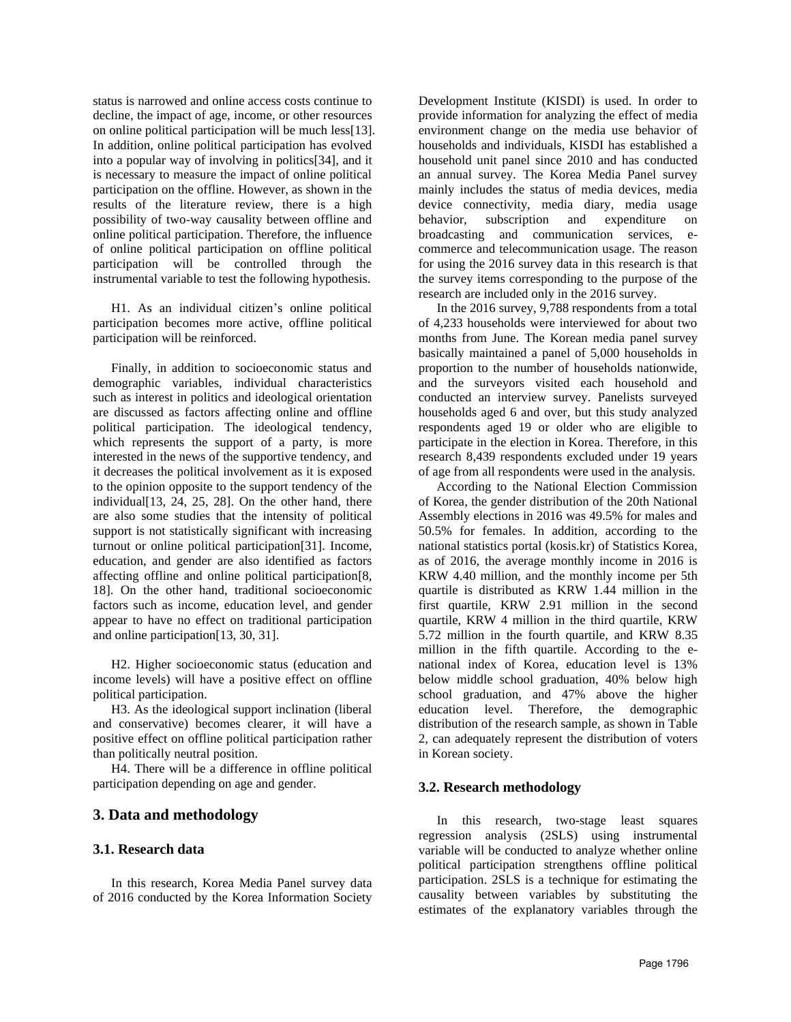status is narrowed and online access costs continue to decline, the impact of age, income, or other resources on online political participation will be much less[13]. In addition, online political participation has evolved into a popular way of involving in politics[34], and it is necessary to measure the impact of online political participation on the offline. However, as shown in the results of the literature review, there is a high possibility of two-way causality between offline and online political participation. Therefore, the influence of online political participation on offline political participation will be controlled through the instrumental variable to test the following hypothesis.

H1. As an individual citizen's online political participation becomes more active, offline political participation will be reinforced.

Finally, in addition to socioeconomic status and demographic variables, individual characteristics such as interest in politics and ideological orientation are discussed as factors affecting online and offline political participation. The ideological tendency, which represents the support of a party, is more interested in the news of the supportive tendency, and it decreases the political involvement as it is exposed to the opinion opposite to the support tendency of the individual[13, 24, 25, 28]. On the other hand, there are also some studies that the intensity of political support is not statistically significant with increasing turnout or online political participation[31]. Income, education, and gender are also identified as factors affecting offline and online political participation[8, 18]. On the other hand, traditional socioeconomic factors such as income, education level, and gender appear to have no effect on traditional participation and online participation[13, 30, 31].

H2. Higher socioeconomic status (education and income levels) will have a positive effect on offline political participation.

H3. As the ideological support inclination (liberal and conservative) becomes clearer, it will have a positive effect on offline political participation rather than politically neutral position.

H4. There will be a difference in offline political participation depending on age and gender.

## **3. Data and methodology**

#### **3.1. Research data**

In this research, Korea Media Panel survey data of 2016 conducted by the Korea Information Society Development Institute (KISDI) is used. In order to provide information for analyzing the effect of media environment change on the media use behavior of households and individuals, KISDI has established a household unit panel since 2010 and has conducted an annual survey. The Korea Media Panel survey mainly includes the status of media devices, media device connectivity, media diary, media usage behavior, subscription and expenditure on broadcasting and communication services, ecommerce and telecommunication usage. The reason for using the 2016 survey data in this research is that the survey items corresponding to the purpose of the research are included only in the 2016 survey.

In the 2016 survey, 9,788 respondents from a total of 4,233 households were interviewed for about two months from June. The Korean media panel survey basically maintained a panel of 5,000 households in proportion to the number of households nationwide, and the surveyors visited each household and conducted an interview survey. Panelists surveyed households aged 6 and over, but this study analyzed respondents aged 19 or older who are eligible to participate in the election in Korea. Therefore, in this research 8,439 respondents excluded under 19 years of age from all respondents were used in the analysis.

According to the National Election Commission of Korea, the gender distribution of the 20th National Assembly elections in 2016 was 49.5% for males and 50.5% for females. In addition, according to the national statistics portal (kosis.kr) of Statistics Korea, as of 2016, the average monthly income in 2016 is KRW 4.40 million, and the monthly income per 5th quartile is distributed as KRW 1.44 million in the first quartile, KRW 2.91 million in the second quartile, KRW 4 million in the third quartile, KRW 5.72 million in the fourth quartile, and KRW 8.35 million in the fifth quartile. According to the enational index of Korea, education level is 13% below middle school graduation, 40% below high school graduation, and 47% above the higher education level. Therefore, the demographic distribution of the research sample, as shown in Table 2, can adequately represent the distribution of voters in Korean society.

## **3.2. Research methodology**

In this research, two-stage least squares regression analysis (2SLS) using instrumental variable will be conducted to analyze whether online political participation strengthens offline political participation. 2SLS is a technique for estimating the causality between variables by substituting the estimates of the explanatory variables through the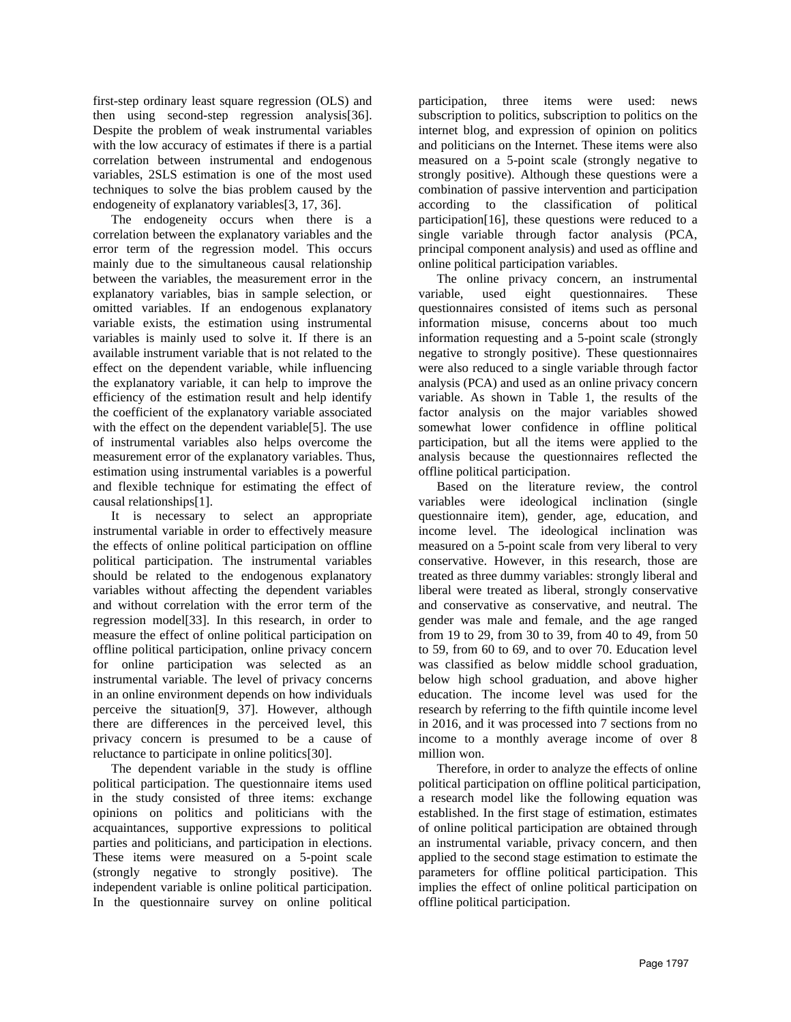first-step ordinary least square regression (OLS) and then using second-step regression analysis[36]. Despite the problem of weak instrumental variables with the low accuracy of estimates if there is a partial correlation between instrumental and endogenous variables, 2SLS estimation is one of the most used techniques to solve the bias problem caused by the endogeneity of explanatory variables[3, 17, 36].

The endogeneity occurs when there is a correlation between the explanatory variables and the error term of the regression model. This occurs mainly due to the simultaneous causal relationship between the variables, the measurement error in the explanatory variables, bias in sample selection, or omitted variables. If an endogenous explanatory variable exists, the estimation using instrumental variables is mainly used to solve it. If there is an available instrument variable that is not related to the effect on the dependent variable, while influencing the explanatory variable, it can help to improve the efficiency of the estimation result and help identify the coefficient of the explanatory variable associated with the effect on the dependent variable[5]. The use of instrumental variables also helps overcome the measurement error of the explanatory variables. Thus, estimation using instrumental variables is a powerful and flexible technique for estimating the effect of causal relationships[1].

It is necessary to select an appropriate instrumental variable in order to effectively measure the effects of online political participation on offline political participation. The instrumental variables should be related to the endogenous explanatory variables without affecting the dependent variables and without correlation with the error term of the regression model[33]. In this research, in order to measure the effect of online political participation on offline political participation, online privacy concern for online participation was selected as an instrumental variable. The level of privacy concerns in an online environment depends on how individuals perceive the situation[9, 37]. However, although there are differences in the perceived level, this privacy concern is presumed to be a cause of reluctance to participate in online politics[30].

The dependent variable in the study is offline political participation. The questionnaire items used in the study consisted of three items: exchange opinions on politics and politicians with the acquaintances, supportive expressions to political parties and politicians, and participation in elections. These items were measured on a 5-point scale (strongly negative to strongly positive). The independent variable is online political participation. In the questionnaire survey on online political participation, three items were used: news subscription to politics, subscription to politics on the internet blog, and expression of opinion on politics and politicians on the Internet. These items were also measured on a 5-point scale (strongly negative to strongly positive). Although these questions were a combination of passive intervention and participation according to the classification of political participation[16], these questions were reduced to a single variable through factor analysis (PCA, principal component analysis) and used as offline and online political participation variables.

The online privacy concern, an instrumental<br>iable, used eight questionnaires. These variable, used eight questionnaires. These questionnaires consisted of items such as personal information misuse, concerns about too much information requesting and a 5-point scale (strongly negative to strongly positive). These questionnaires were also reduced to a single variable through factor analysis (PCA) and used as an online privacy concern variable. As shown in Table 1, the results of the factor analysis on the major variables showed somewhat lower confidence in offline political participation, but all the items were applied to the analysis because the questionnaires reflected the offline political participation.

Based on the literature review, the control variables were ideological inclination (single questionnaire item), gender, age, education, and income level. The ideological inclination was measured on a 5-point scale from very liberal to very conservative. However, in this research, those are treated as three dummy variables: strongly liberal and liberal were treated as liberal, strongly conservative and conservative as conservative, and neutral. The gender was male and female, and the age ranged from 19 to 29, from 30 to 39, from 40 to 49, from 50 to 59, from 60 to 69, and to over 70. Education level was classified as below middle school graduation, below high school graduation, and above higher education. The income level was used for the research by referring to the fifth quintile income level in 2016, and it was processed into 7 sections from no income to a monthly average income of over 8 million won.

Therefore, in order to analyze the effects of online political participation on offline political participation, a research model like the following equation was established. In the first stage of estimation, estimates of online political participation are obtained through an instrumental variable, privacy concern, and then applied to the second stage estimation to estimate the parameters for offline political participation. This implies the effect of online political participation on offline political participation.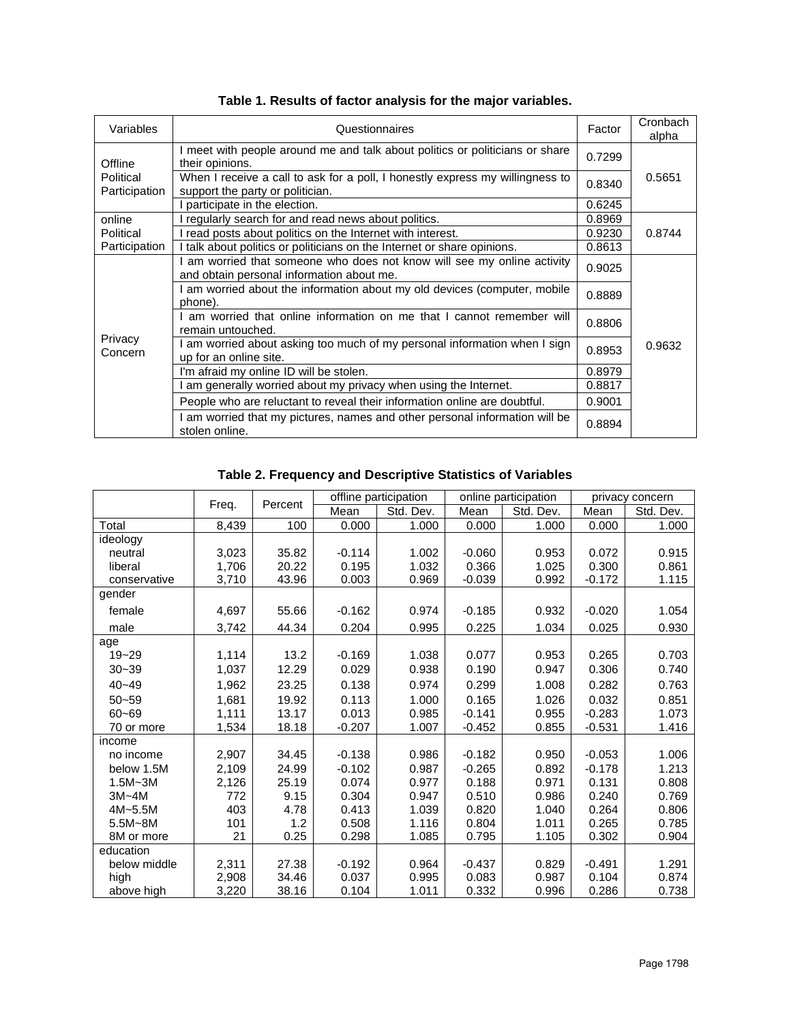| Variables                             | Questionnaires                                                                                                       | Factor | Cronbach<br>alpha |
|---------------------------------------|----------------------------------------------------------------------------------------------------------------------|--------|-------------------|
| Offline<br>Political<br>Participation | I meet with people around me and talk about politics or politicians or share<br>their opinions.                      |        |                   |
|                                       | When I receive a call to ask for a poll, I honestly express my willingness to<br>support the party or politician.    | 0.8340 | 0.5651            |
|                                       | I participate in the election.                                                                                       | 0.6245 |                   |
| online                                | I regularly search for and read news about politics.                                                                 | 0.8969 |                   |
| Political                             | I read posts about politics on the Internet with interest.                                                           | 0.9230 | 0.8744            |
| Participation                         | I talk about politics or politicians on the Internet or share opinions.                                              | 0.8613 |                   |
| Privacy<br>Concern                    | I am worried that someone who does not know will see my online activity<br>and obtain personal information about me. |        |                   |
|                                       | I am worried about the information about my old devices (computer, mobile<br>phone).                                 | 0.8889 |                   |
|                                       | I am worried that online information on me that I cannot remember will<br>remain untouched.                          |        |                   |
|                                       | I am worried about asking too much of my personal information when I sign<br>up for an online site.                  | 0.8953 | 0.9632            |
|                                       | I'm afraid my online ID will be stolen.                                                                              | 0.8979 |                   |
|                                       | am generally worried about my privacy when using the Internet.                                                       | 0.8817 |                   |
|                                       | People who are reluctant to reveal their information online are doubtful.                                            | 0.9001 |                   |
|                                       | I am worried that my pictures, names and other personal information will be<br>stolen online.                        | 0.8894 |                   |

**Table 1. Results of factor analysis for the major variables.**

# **Table 2. Frequency and Descriptive Statistics of Variables**

|              |       |         | offline participation |           | online participation |           | privacy concern |           |
|--------------|-------|---------|-----------------------|-----------|----------------------|-----------|-----------------|-----------|
|              | Freq. | Percent | Mean                  | Std. Dev. | Mean                 | Std. Dev. | Mean            | Std. Dev. |
| Total        | 8,439 | 100     | 0.000                 | 1.000     | 0.000                | 1.000     | 0.000           | 1.000     |
| ideology     |       |         |                       |           |                      |           |                 |           |
| neutral      | 3,023 | 35.82   | $-0.114$              | 1.002     | $-0.060$             | 0.953     | 0.072           | 0.915     |
| liberal      | 1,706 | 20.22   | 0.195                 | 1.032     | 0.366                | 1.025     | 0.300           | 0.861     |
| conservative | 3,710 | 43.96   | 0.003                 | 0.969     | $-0.039$             | 0.992     | $-0.172$        | 1.115     |
| gender       |       |         |                       |           |                      |           |                 |           |
| female       | 4,697 | 55.66   | $-0.162$              | 0.974     | $-0.185$             | 0.932     | $-0.020$        | 1.054     |
| male         | 3,742 | 44.34   | 0.204                 | 0.995     | 0.225                | 1.034     | 0.025           | 0.930     |
| age          |       |         |                       |           |                      |           |                 |           |
| $19 - 29$    | 1,114 | 13.2    | $-0.169$              | 1.038     | 0.077                | 0.953     | 0.265           | 0.703     |
| $30 - 39$    | 1,037 | 12.29   | 0.029                 | 0.938     | 0.190                | 0.947     | 0.306           | 0.740     |
| $40 - 49$    | 1,962 | 23.25   | 0.138                 | 0.974     | 0.299                | 1.008     | 0.282           | 0.763     |
| $50 - 59$    | 1,681 | 19.92   | 0.113                 | 1.000     | 0.165                | 1.026     | 0.032           | 0.851     |
| $60 - 69$    | 1,111 | 13.17   | 0.013                 | 0.985     | $-0.141$             | 0.955     | $-0.283$        | 1.073     |
| 70 or more   | 1,534 | 18.18   | $-0.207$              | 1.007     | $-0.452$             | 0.855     | $-0.531$        | 1.416     |
| income       |       |         |                       |           |                      |           |                 |           |
| no income    | 2,907 | 34.45   | $-0.138$              | 0.986     | $-0.182$             | 0.950     | $-0.053$        | 1.006     |
| below 1.5M   | 2,109 | 24.99   | $-0.102$              | 0.987     | $-0.265$             | 0.892     | $-0.178$        | 1.213     |
| $1.5M - 3M$  | 2,126 | 25.19   | 0.074                 | 0.977     | 0.188                | 0.971     | 0.131           | 0.808     |
| $3M - 4M$    | 772   | 9.15    | 0.304                 | 0.947     | 0.510                | 0.986     | 0.240           | 0.769     |
| $4M - 5.5M$  | 403   | 4.78    | 0.413                 | 1.039     | 0.820                | 1.040     | 0.264           | 0.806     |
| $5.5M - 8M$  | 101   | 1.2     | 0.508                 | 1.116     | 0.804                | 1.011     | 0.265           | 0.785     |
| 8M or more   | 21    | 0.25    | 0.298                 | 1.085     | 0.795                | 1.105     | 0.302           | 0.904     |
| education    |       |         |                       |           |                      |           |                 |           |
| below middle | 2,311 | 27.38   | $-0.192$              | 0.964     | $-0.437$             | 0.829     | $-0.491$        | 1.291     |
| high         | 2,908 | 34.46   | 0.037                 | 0.995     | 0.083                | 0.987     | 0.104           | 0.874     |
| above high   | 3,220 | 38.16   | 0.104                 | 1.011     | 0.332                | 0.996     | 0.286           | 0.738     |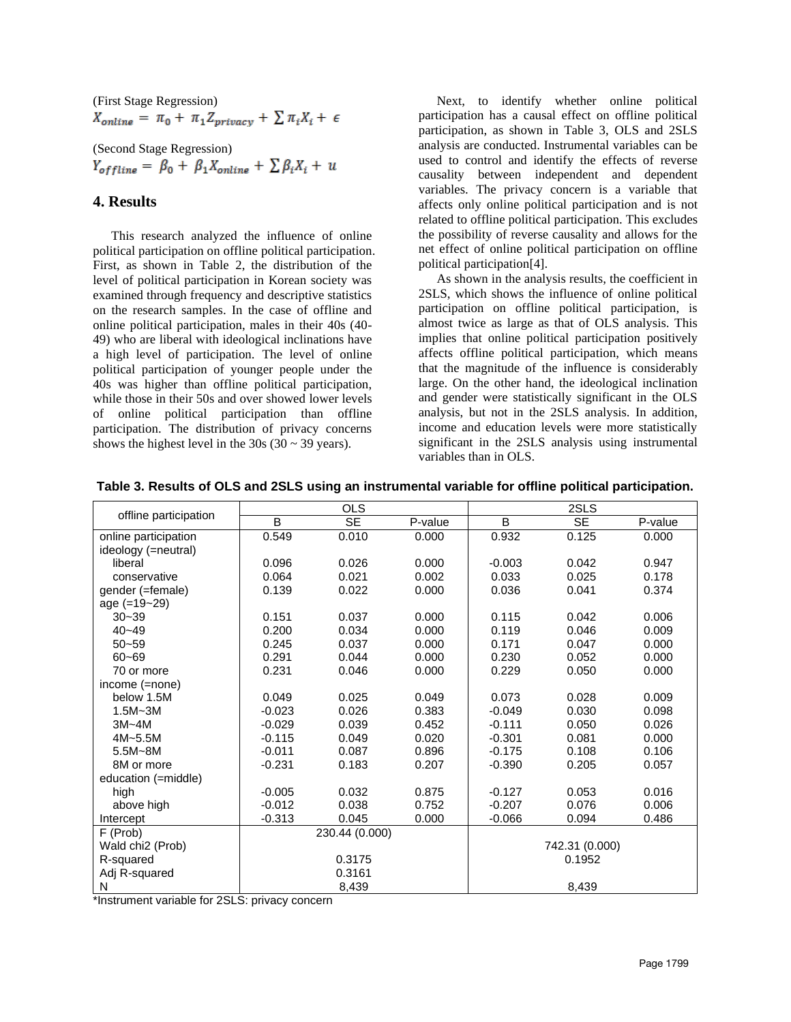(First Stage Regression)<br>  $X_{online} = \pi_0 + \pi_1 Z_{privacy} + \sum \pi_i X_i + \epsilon$ 

(Second Stage Regression)<br>  $Y_{offline} = \beta_0 + \beta_1 X_{online} + \sum \beta_i X_i + u$ 

## **4. Results**

This research analyzed the influence of online political participation on offline political participation. First, as shown in Table 2, the distribution of the level of political participation in Korean society was examined through frequency and descriptive statistics on the research samples. In the case of offline and online political participation, males in their 40s (40- 49) who are liberal with ideological inclinations have a high level of participation. The level of online political participation of younger people under the 40s was higher than offline political participation, while those in their 50s and over showed lower levels of online political participation than offline participation. The distribution of privacy concerns shows the highest level in the  $30s (30 \sim 39 \text{ years})$ .

Next, to identify whether online political participation has a causal effect on offline political participation, as shown in Table 3, OLS and 2SLS analysis are conducted. Instrumental variables can be used to control and identify the effects of reverse causality between independent and dependent variables. The privacy concern is a variable that affects only online political participation and is not related to offline political participation. This excludes the possibility of reverse causality and allows for the net effect of online political participation on offline political participation[4].

As shown in the analysis results, the coefficient in 2SLS, which shows the influence of online political participation on offline political participation, is almost twice as large as that of OLS analysis. This implies that online political participation positively affects offline political participation, which means that the magnitude of the influence is considerably large. On the other hand, the ideological inclination and gender were statistically significant in the OLS analysis, but not in the 2SLS analysis. In addition, income and education levels were more statistically significant in the 2SLS analysis using instrumental variables than in OLS.

|                              | <b>OLS</b> |                        |         | 2SLS           |           |         |  |
|------------------------------|------------|------------------------|---------|----------------|-----------|---------|--|
| offline participation        | B          | $\overline{\text{SE}}$ | P-value | B              | <b>SE</b> | P-value |  |
| online participation         | 0.549      | 0.010                  | 0.000   | 0.932          | 0.125     | 0.000   |  |
| ideology (=neutral)          |            |                        |         |                |           |         |  |
| liberal                      | 0.096      | 0.026                  | 0.000   | $-0.003$       | 0.042     | 0.947   |  |
| conservative                 | 0.064      | 0.021                  | 0.002   | 0.033          | 0.025     | 0.178   |  |
| gender (=female)             | 0.139      | 0.022                  | 0.000   | 0.036          | 0.041     | 0.374   |  |
| age (=19~29)                 |            |                        |         |                |           |         |  |
| $30 - 39$                    | 0.151      | 0.037                  | 0.000   | 0.115          | 0.042     | 0.006   |  |
| $40 - 49$                    | 0.200      | 0.034                  | 0.000   | 0.119          | 0.046     | 0.009   |  |
| $50 - 59$                    | 0.245      | 0.037                  | 0.000   | 0.171          | 0.047     | 0.000   |  |
| $60 - 69$                    | 0.291      | 0.044                  | 0.000   | 0.230          | 0.052     | 0.000   |  |
| 70 or more                   | 0.231      | 0.046                  | 0.000   | 0.229          | 0.050     | 0.000   |  |
| income (=none)               |            |                        |         |                |           |         |  |
| below 1.5M                   | 0.049      | 0.025                  | 0.049   | 0.073          | 0.028     | 0.009   |  |
| $1.5M - 3M$                  | $-0.023$   | 0.026                  | 0.383   | $-0.049$       | 0.030     | 0.098   |  |
| $3M - 4M$                    | $-0.029$   | 0.039                  | 0.452   | $-0.111$       | 0.050     | 0.026   |  |
| 4M~5.5M                      | $-0.115$   | 0.049                  | 0.020   | $-0.301$       | 0.081     | 0.000   |  |
| $5.5M - 8M$                  | $-0.011$   | 0.087                  | 0.896   | $-0.175$       | 0.108     | 0.106   |  |
| 8M or more                   | $-0.231$   | 0.183                  | 0.207   | $-0.390$       | 0.205     | 0.057   |  |
| education (=middle)          |            |                        |         |                |           |         |  |
| high                         | $-0.005$   | 0.032                  | 0.875   | $-0.127$       | 0.053     | 0.016   |  |
| above high                   | $-0.012$   | 0.038                  | 0.752   | $-0.207$       | 0.076     | 0.006   |  |
| Intercept                    | $-0.313$   | 0.045                  | 0.000   | $-0.066$       | 0.094     | 0.486   |  |
| 230.44 (0.000)<br>F (Prob)   |            |                        |         |                |           |         |  |
| Wald chi <sub>2</sub> (Prob) |            |                        |         | 742.31 (0.000) |           |         |  |
| R-squared                    |            | 0.3175                 |         | 0.1952         |           |         |  |
| Adj R-squared                |            | 0.3161                 |         |                |           |         |  |
| N                            |            | 8,439                  |         |                | 8,439     |         |  |

**Table 3. Results of OLS and 2SLS using an instrumental variable for offline political participation.**

\*Instrument variable for 2SLS: privacy concern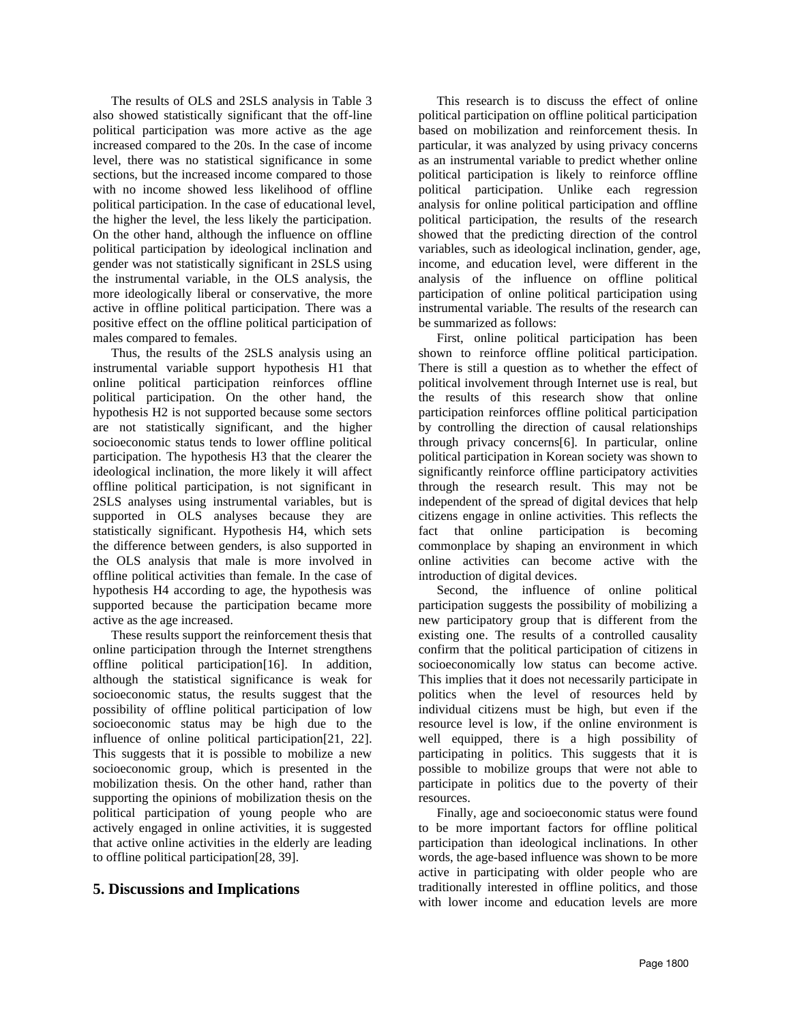The results of OLS and 2SLS analysis in Table 3 also showed statistically significant that the off-line political participation was more active as the age increased compared to the 20s. In the case of income level, there was no statistical significance in some sections, but the increased income compared to those with no income showed less likelihood of offline political participation. In the case of educational level, the higher the level, the less likely the participation. On the other hand, although the influence on offline political participation by ideological inclination and gender was not statistically significant in 2SLS using the instrumental variable, in the OLS analysis, the more ideologically liberal or conservative, the more active in offline political participation. There was a positive effect on the offline political participation of males compared to females.

Thus, the results of the 2SLS analysis using an instrumental variable support hypothesis H1 that online political participation reinforces offline political participation. On the other hand, the hypothesis H2 is not supported because some sectors are not statistically significant, and the higher socioeconomic status tends to lower offline political participation. The hypothesis H3 that the clearer the ideological inclination, the more likely it will affect offline political participation, is not significant in 2SLS analyses using instrumental variables, but is supported in OLS analyses because they are statistically significant. Hypothesis H4, which sets the difference between genders, is also supported in the OLS analysis that male is more involved in offline political activities than female. In the case of hypothesis H4 according to age, the hypothesis was supported because the participation became more active as the age increased.

These results support the reinforcement thesis that online participation through the Internet strengthens offline political participation[16]. In addition, although the statistical significance is weak for socioeconomic status, the results suggest that the possibility of offline political participation of low socioeconomic status may be high due to the influence of online political participation[21, 22]. This suggests that it is possible to mobilize a new socioeconomic group, which is presented in the mobilization thesis. On the other hand, rather than supporting the opinions of mobilization thesis on the political participation of young people who are actively engaged in online activities, it is suggested that active online activities in the elderly are leading to offline political participation[28, 39].

## **5. Discussions and Implications**

This research is to discuss the effect of online political participation on offline political participation based on mobilization and reinforcement thesis. In particular, it was analyzed by using privacy concerns as an instrumental variable to predict whether online political participation is likely to reinforce offline political participation. Unlike each regression analysis for online political participation and offline political participation, the results of the research showed that the predicting direction of the control variables, such as ideological inclination, gender, age, income, and education level, were different in the analysis of the influence on offline political participation of online political participation using instrumental variable. The results of the research can be summarized as follows:

First, online political participation has been shown to reinforce offline political participation. There is still a question as to whether the effect of political involvement through Internet use is real, but the results of this research show that online participation reinforces offline political participation by controlling the direction of causal relationships through privacy concerns[6]. In particular, online political participation in Korean society was shown to significantly reinforce offline participatory activities through the research result. This may not be independent of the spread of digital devices that help citizens engage in online activities. This reflects the fact that online participation is becoming commonplace by shaping an environment in which online activities can become active with the introduction of digital devices.

Second, the influence of online political participation suggests the possibility of mobilizing a new participatory group that is different from the existing one. The results of a controlled causality confirm that the political participation of citizens in socioeconomically low status can become active. This implies that it does not necessarily participate in politics when the level of resources held by individual citizens must be high, but even if the resource level is low, if the online environment is well equipped, there is a high possibility of participating in politics. This suggests that it is possible to mobilize groups that were not able to participate in politics due to the poverty of their resources.

Finally, age and socioeconomic status were found to be more important factors for offline political participation than ideological inclinations. In other words, the age-based influence was shown to be more active in participating with older people who are traditionally interested in offline politics, and those with lower income and education levels are more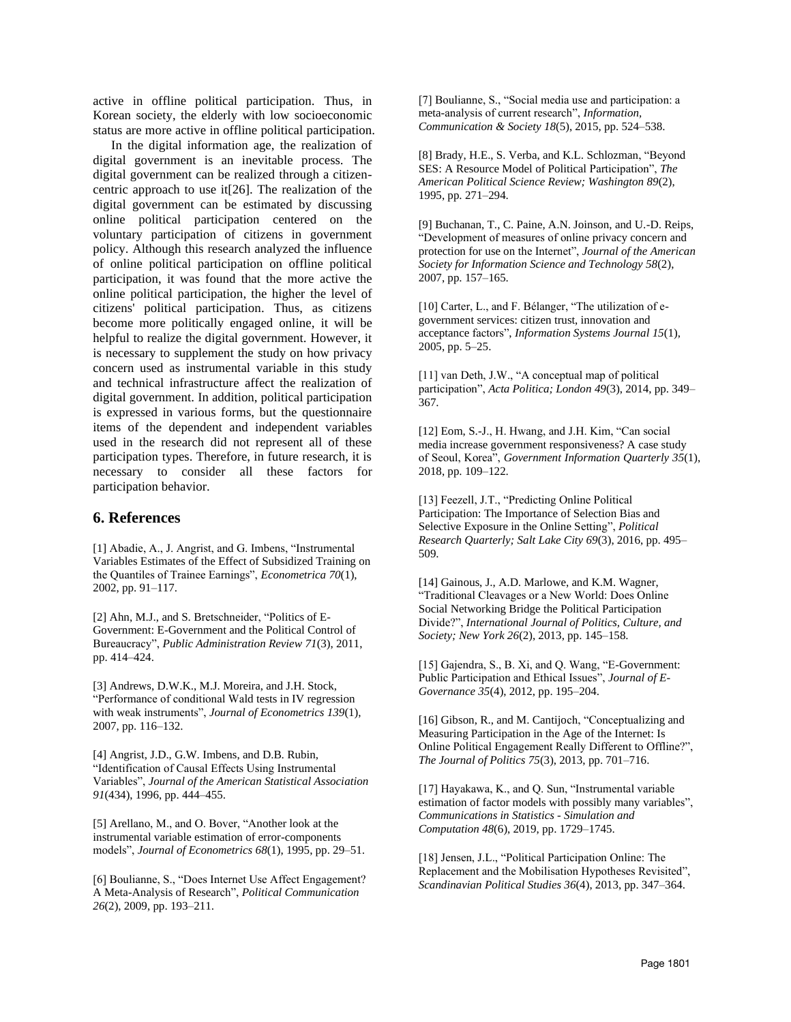active in offline political participation. Thus, in Korean society, the elderly with low socioeconomic status are more active in offline political participation.

In the digital information age, the realization of digital government is an inevitable process. The digital government can be realized through a citizencentric approach to use it[26]. The realization of the digital government can be estimated by discussing online political participation centered on the voluntary participation of citizens in government policy. Although this research analyzed the influence of online political participation on offline political participation, it was found that the more active the online political participation, the higher the level of citizens' political participation. Thus, as citizens become more politically engaged online, it will be helpful to realize the digital government. However, it is necessary to supplement the study on how privacy concern used as instrumental variable in this study and technical infrastructure affect the realization of digital government. In addition, political participation is expressed in various forms, but the questionnaire items of the dependent and independent variables used in the research did not represent all of these participation types. Therefore, in future research, it is necessary to consider all these factors for participation behavior.

## **6. References**

[1] Abadie, A., J. Angrist, and G. Imbens, "Instrumental Variables Estimates of the Effect of Subsidized Training on the Quantiles of Trainee Earnings", *Econometrica 70*(1), 2002, pp. 91–117.

[2] Ahn, M.J., and S. Bretschneider, "Politics of E-Government: E-Government and the Political Control of Bureaucracy", *Public Administration Review 71*(3), 2011, pp. 414–424.

[3] Andrews, D.W.K., M.J. Moreira, and J.H. Stock, "Performance of conditional Wald tests in IV regression with weak instruments", *Journal of Econometrics 139*(1), 2007, pp. 116–132.

[4] Angrist, J.D., G.W. Imbens, and D.B. Rubin, "Identification of Causal Effects Using Instrumental Variables", *Journal of the American Statistical Association 91*(434), 1996, pp. 444–455.

[5] Arellano, M., and O. Bover, "Another look at the instrumental variable estimation of error-components models", *Journal of Econometrics 68*(1), 1995, pp. 29–51.

[6] Boulianne, S., "Does Internet Use Affect Engagement? A Meta-Analysis of Research", *Political Communication 26*(2), 2009, pp. 193–211.

[7] Boulianne, S., "Social media use and participation: a meta-analysis of current research", *Information, Communication & Society 18*(5), 2015, pp. 524–538.

[8] Brady, H.E., S. Verba, and K.L. Schlozman, "Beyond SES: A Resource Model of Political Participation", *The American Political Science Review; Washington 89*(2), 1995, pp. 271–294.

[9] Buchanan, T., C. Paine, A.N. Joinson, and U.-D. Reips, "Development of measures of online privacy concern and protection for use on the Internet", *Journal of the American Society for Information Science and Technology 58*(2), 2007, pp. 157–165.

[10] Carter, L., and F. Bélanger, "The utilization of egovernment services: citizen trust, innovation and acceptance factors", *Information Systems Journal 15*(1), 2005, pp. 5–25.

[11] van Deth, J.W., "A conceptual map of political participation", *Acta Politica; London 49*(3), 2014, pp. 349– 367.

[12] Eom, S.-J., H. Hwang, and J.H. Kim, "Can social media increase government responsiveness? A case study of Seoul, Korea", *Government Information Quarterly 35*(1), 2018, pp. 109–122.

[13] Feezell, J.T., "Predicting Online Political Participation: The Importance of Selection Bias and Selective Exposure in the Online Setting", *Political Research Quarterly; Salt Lake City 69*(3), 2016, pp. 495– 509.

[14] Gainous, J., A.D. Marlowe, and K.M. Wagner, "Traditional Cleavages or a New World: Does Online Social Networking Bridge the Political Participation Divide?", *International Journal of Politics, Culture, and Society; New York 26*(2), 2013, pp. 145–158.

[15] Gajendra, S., B. Xi, and Q. Wang, "E-Government: Public Participation and Ethical Issues", *Journal of E-Governance 35*(4), 2012, pp. 195–204.

[16] Gibson, R., and M. Cantijoch, "Conceptualizing and Measuring Participation in the Age of the Internet: Is Online Political Engagement Really Different to Offline?", *The Journal of Politics 75*(3), 2013, pp. 701–716.

[17] Hayakawa, K., and Q. Sun, "Instrumental variable estimation of factor models with possibly many variables", *Communications in Statistics - Simulation and Computation 48*(6), 2019, pp. 1729–1745.

[18] Jensen, J.L., "Political Participation Online: The Replacement and the Mobilisation Hypotheses Revisited", *Scandinavian Political Studies 36*(4), 2013, pp. 347–364.